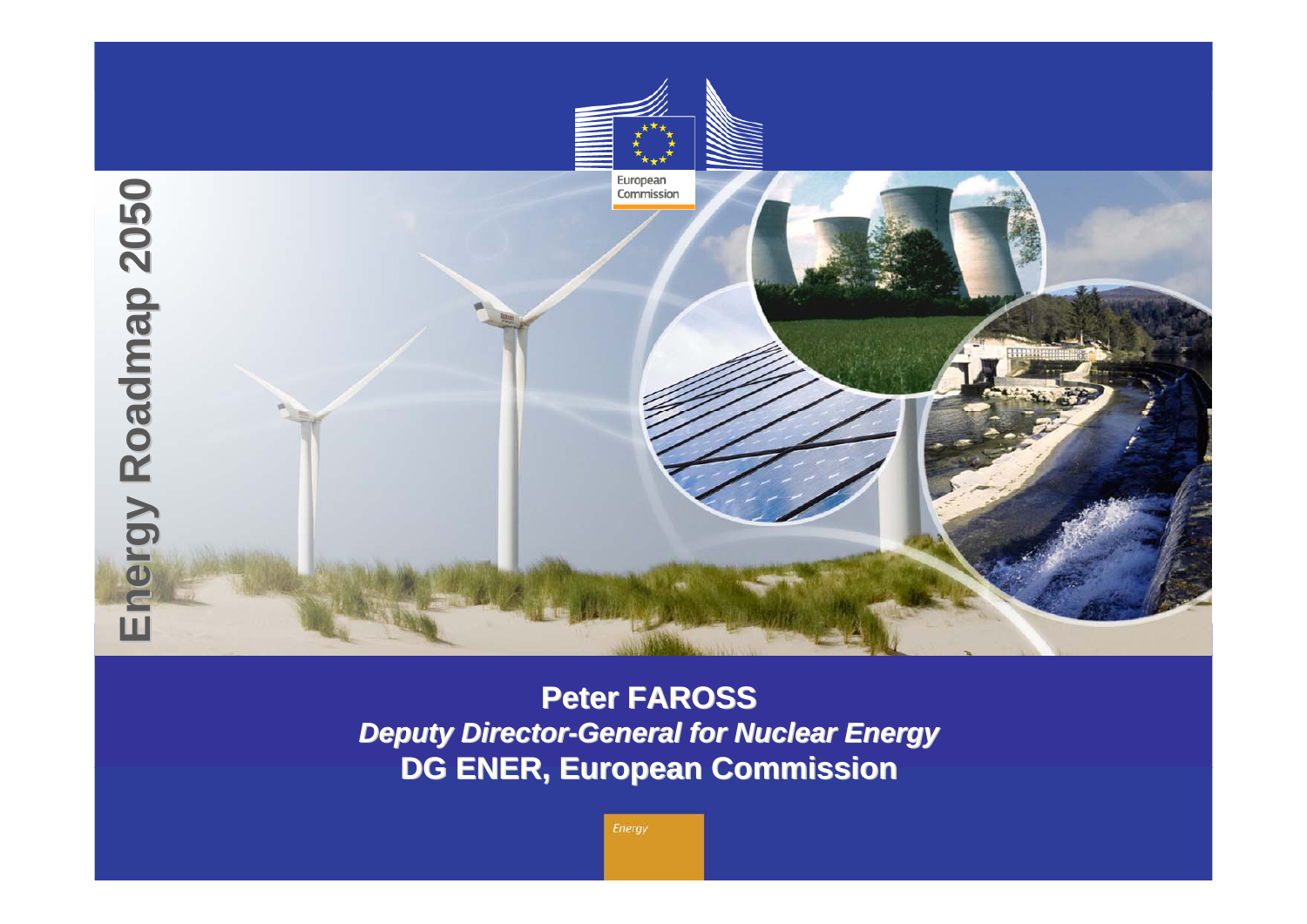

**Peter FAROSS Peter FAROSS** *Deputy Director-General for Nuclear Energy* **DG ENER, European Commission DG ENER, European Commission**

Energy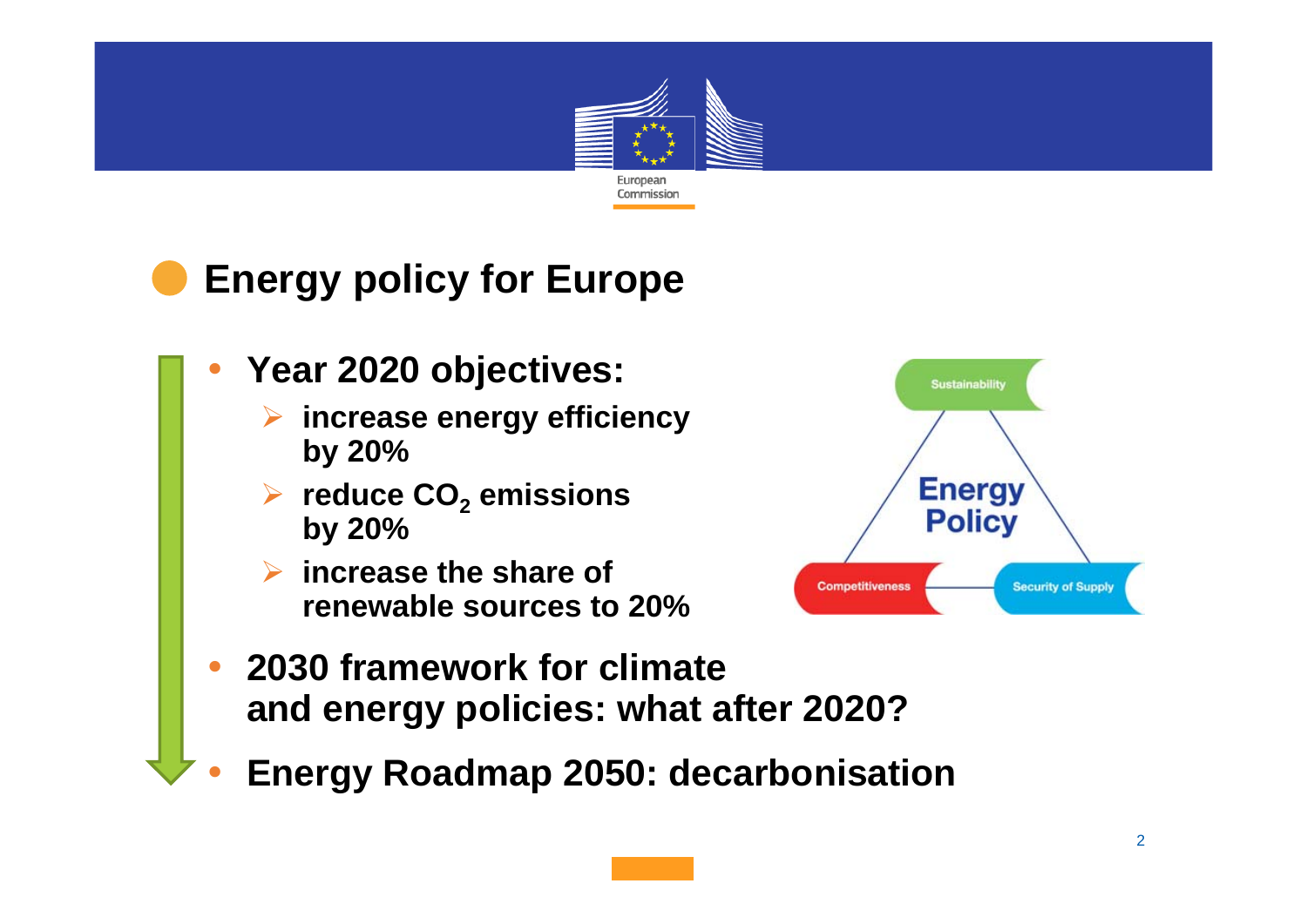

## **Energy policy for Europe**

**Year 2020 objectives:**

•

•

- **increase energy efficiency by 20%**
- **reduce CO 2 emissions by 20%**
- **increase the share of renewable sources to 20%**



- • **2030 framework for climateand energy policies: what after 2020?**
	- **Energy Roadmap 2050: decarbonisation**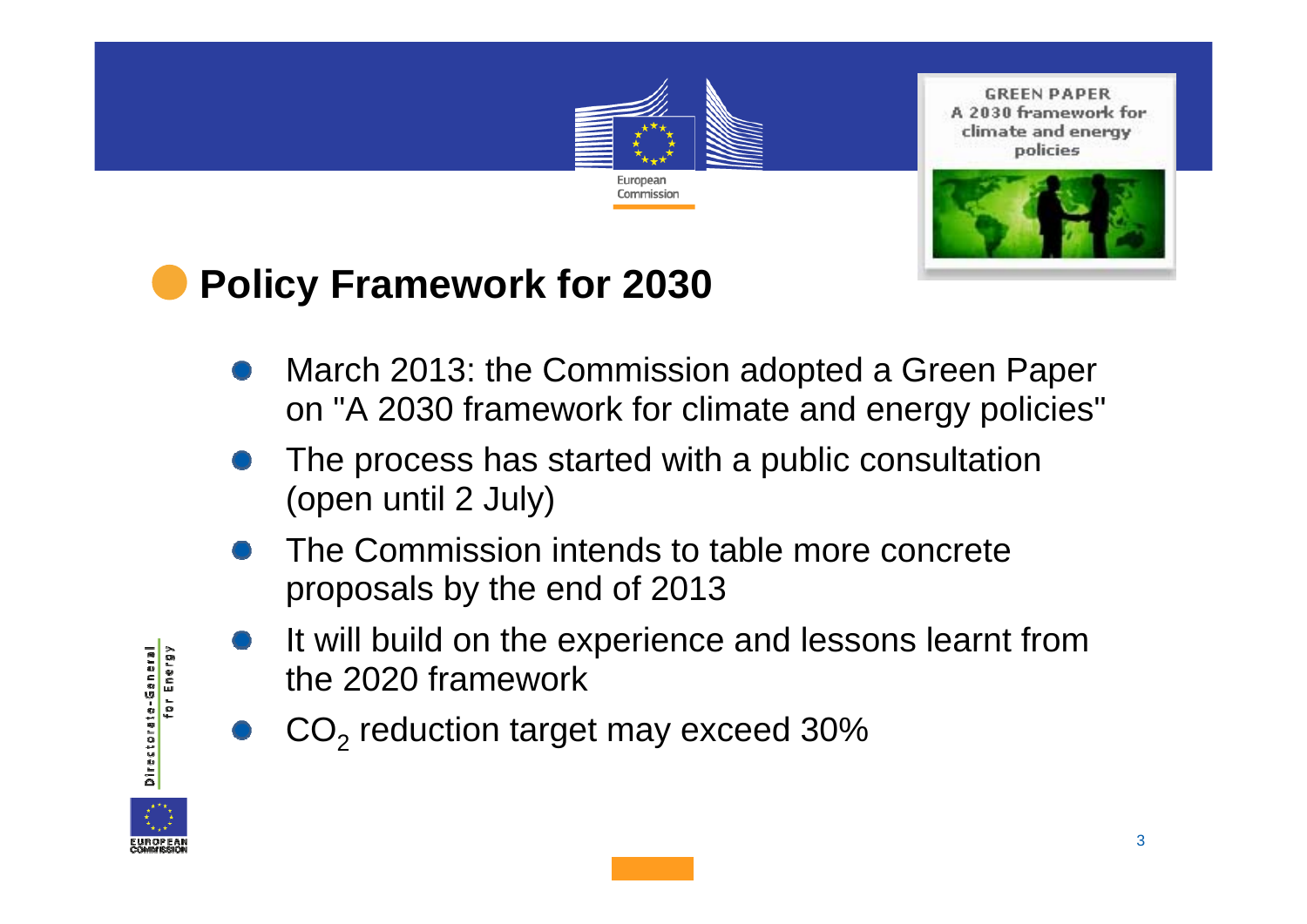

**GREEN PAPER** A 2030 framework for climate and energy policies



# **Policy Framework for 2030**

- March 2013: the Commission adopted a Green Paper on "A 2030 framework for climate and energy policies"
- The process has started with a public consultation (open until 2 July)
- The Commission intends to table more concreteproposals by the end of 2013
- It will build on the experience and lessons learnt from the 2020 framework
- $\mathsf{CO}_2$  reduction target may exceed 30%



Directorate-General

for Energy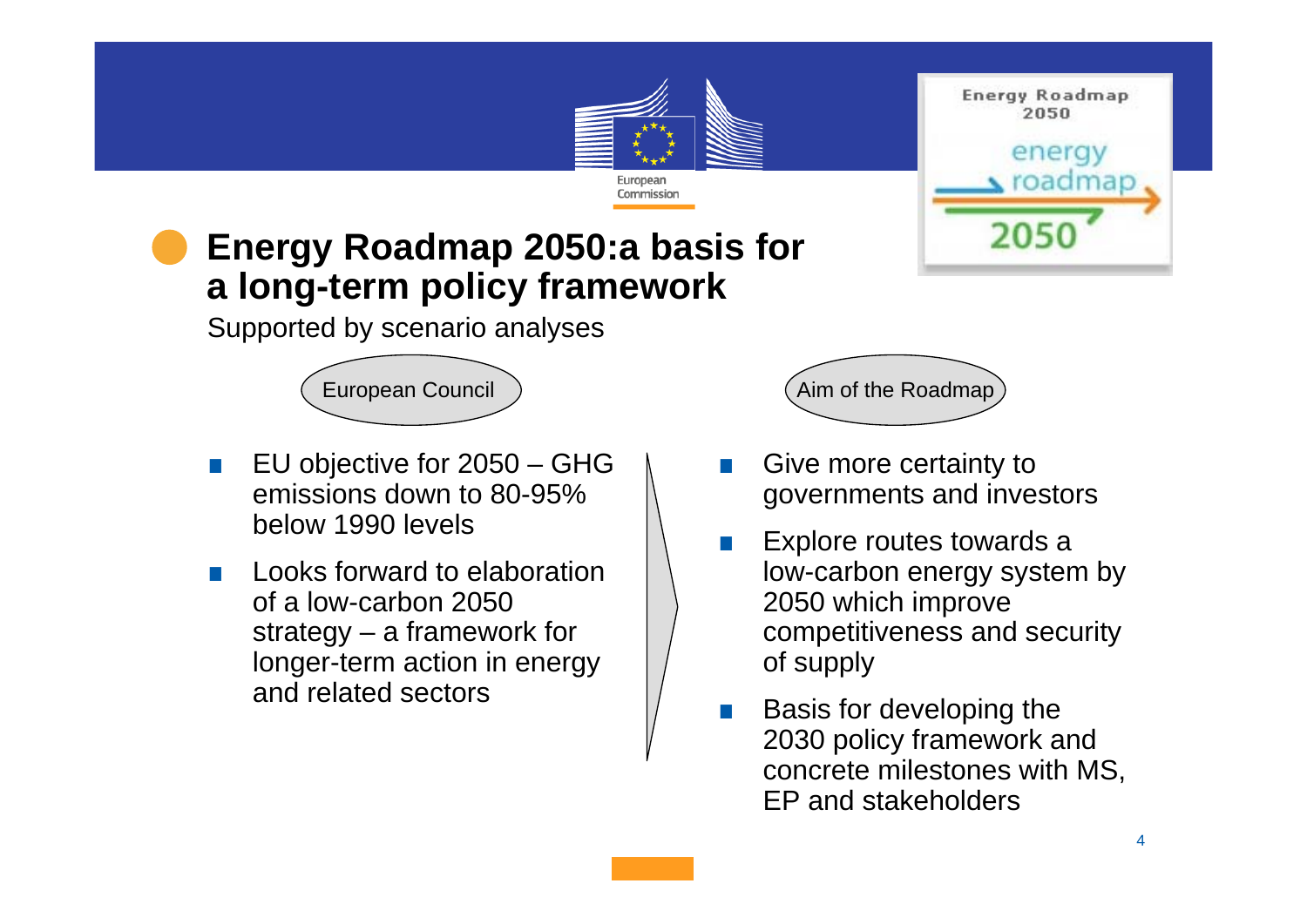

**Energy Roadmap** 2050



## **Energy Roadmap 2050:a basis for a long-term policy framework**

Supported by scenario analyses

- . EU objective for 2050 – GHG emissions down to 80-95% below 1990 levels
- . Looks forward to elaboration of a low-carbon 2050 strategy – a framework for longer-term action in energy and related sectors

European Council (Aim of the Roadmap)

- . Give more certainty to governments and investors
- . Explore routes towards a low-carbon energy system by 2050 which improve competitiveness and security of supply
- . Basis for developing the 2030 policy framework and concrete milestones with MS, EP and stakeholders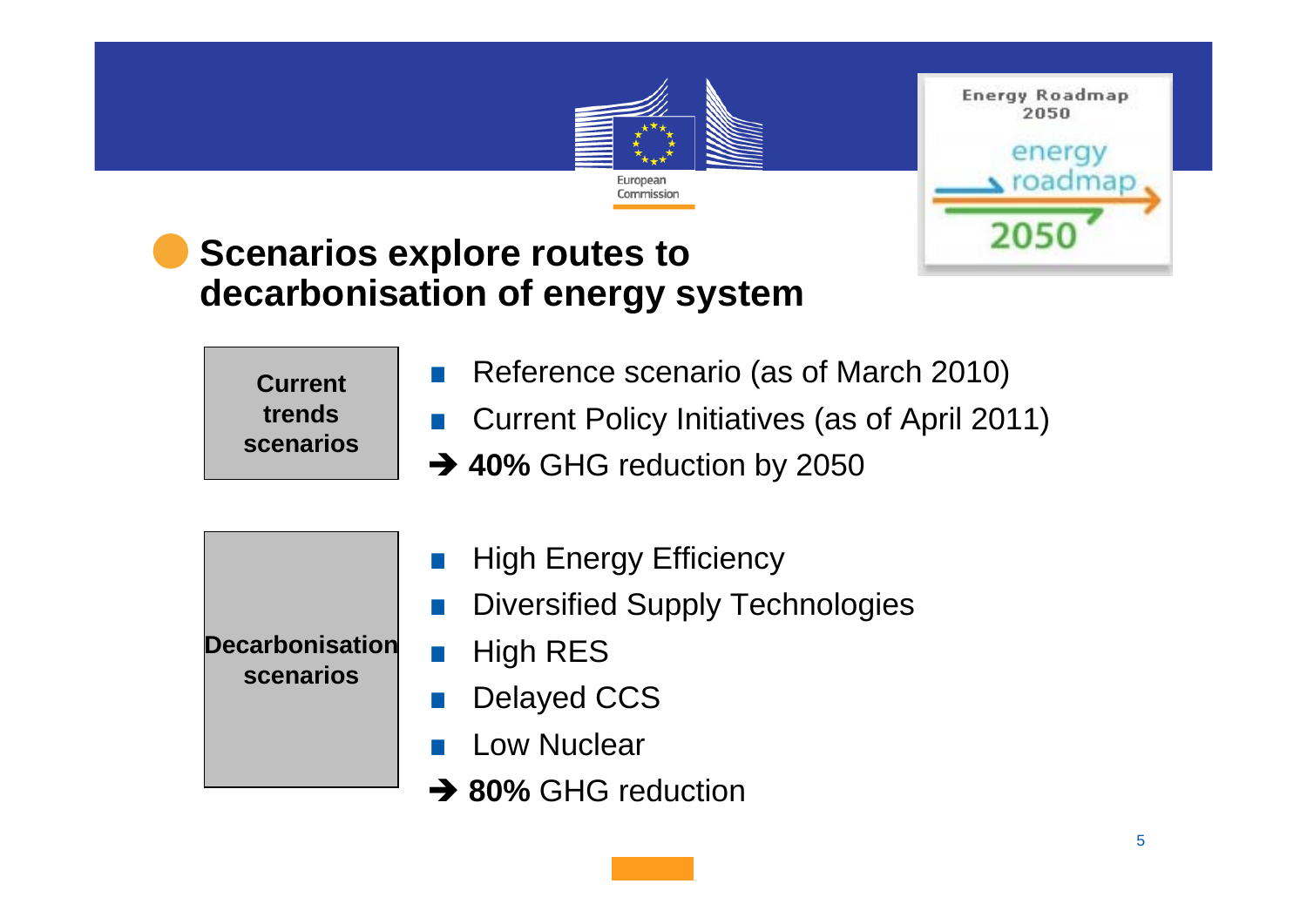

**Energy Roadmap** 2050 energy

2050

roadmap

## **Scenarios explore routes to decarbonisation of energy system**

**Currenttrendsscenarios**

- **Reference scenario (as of March 2010)**
- .Current Policy Initiatives (as of April 2011)
- **→ 40% GHG reduction by 2050**
- . High Energy Efficiency . Diversified Supply Technologies . High RES . Delayed CCS . Low Nuclear **→ 80% GHG reduction Decarbonisationscenarios**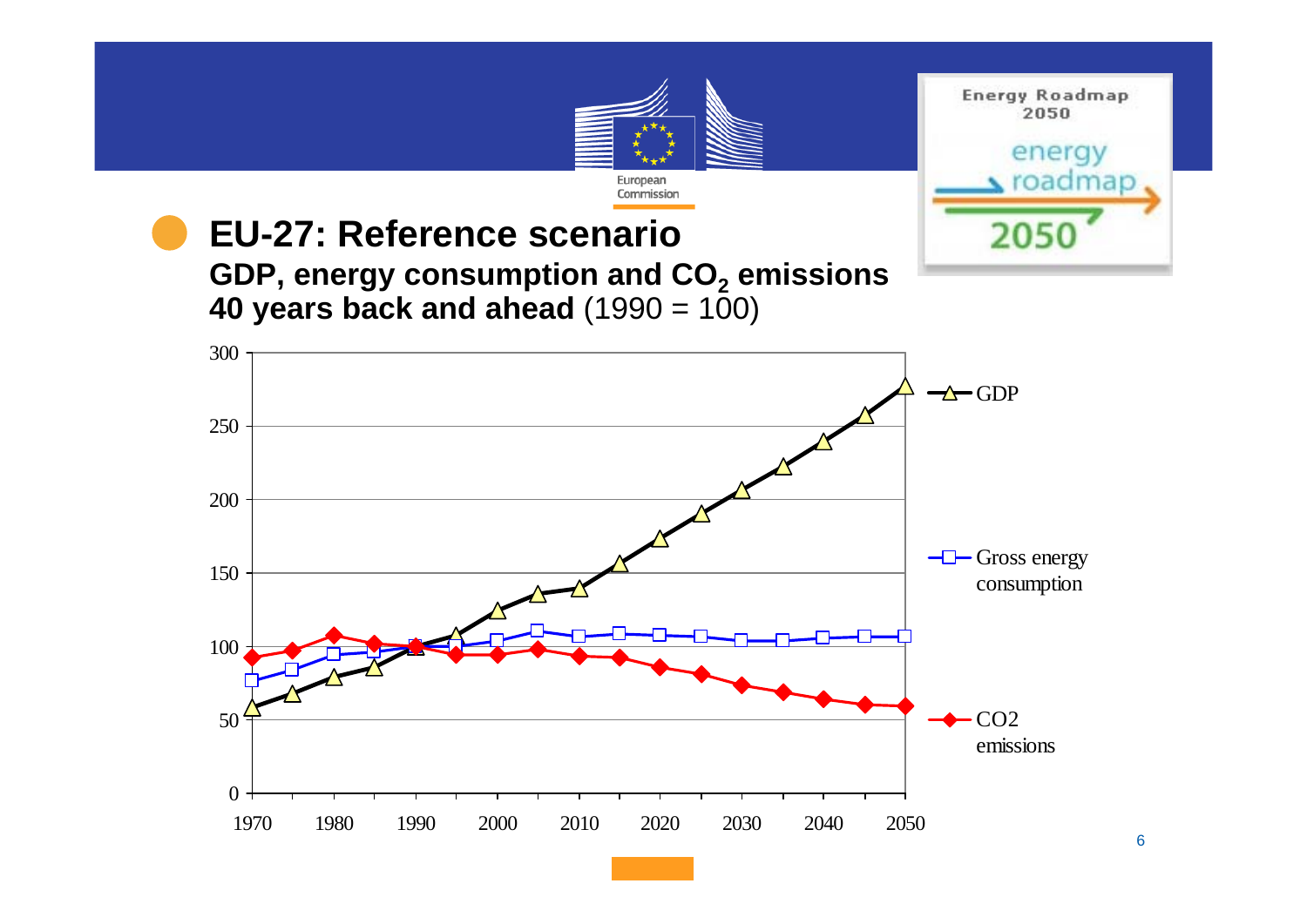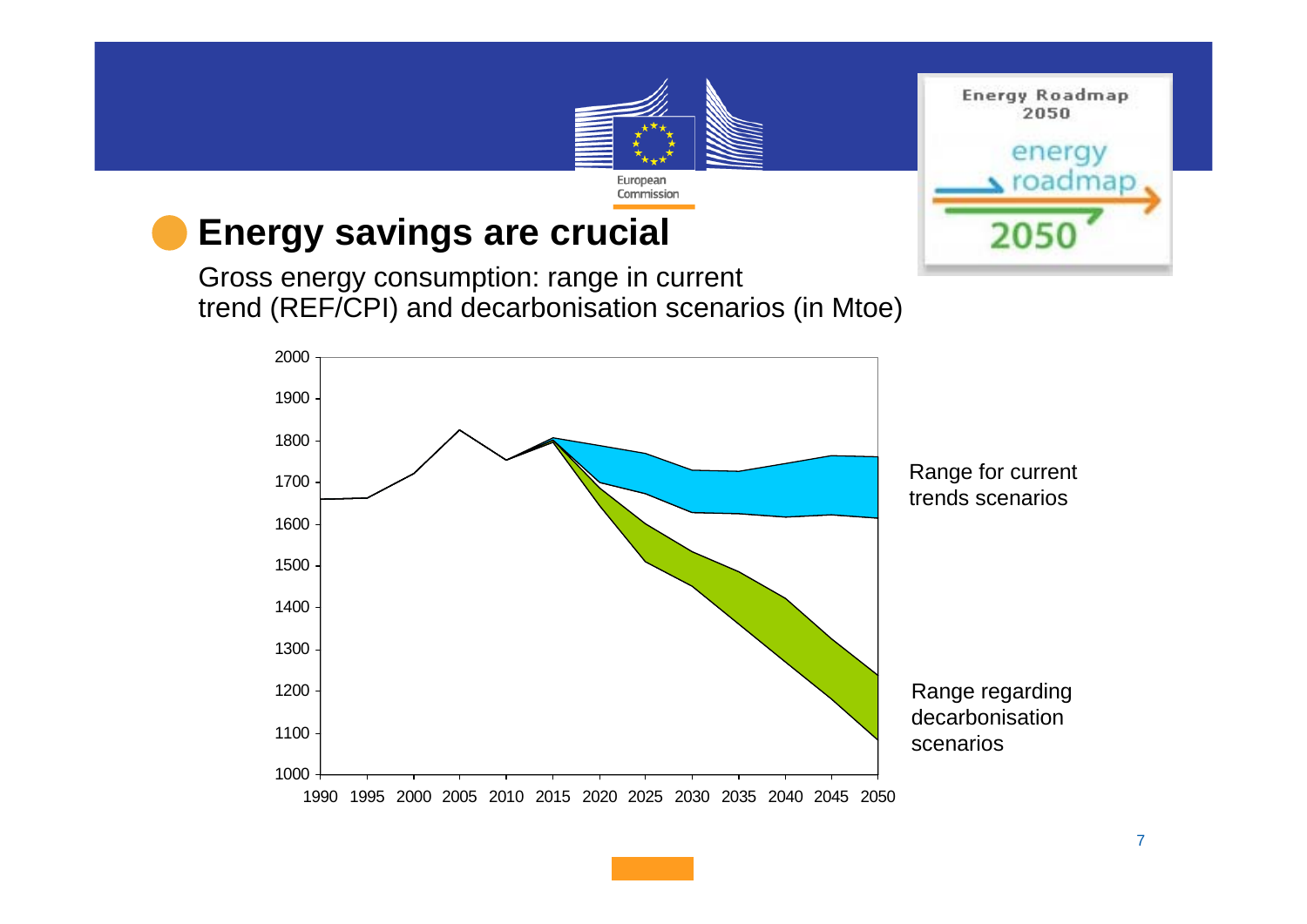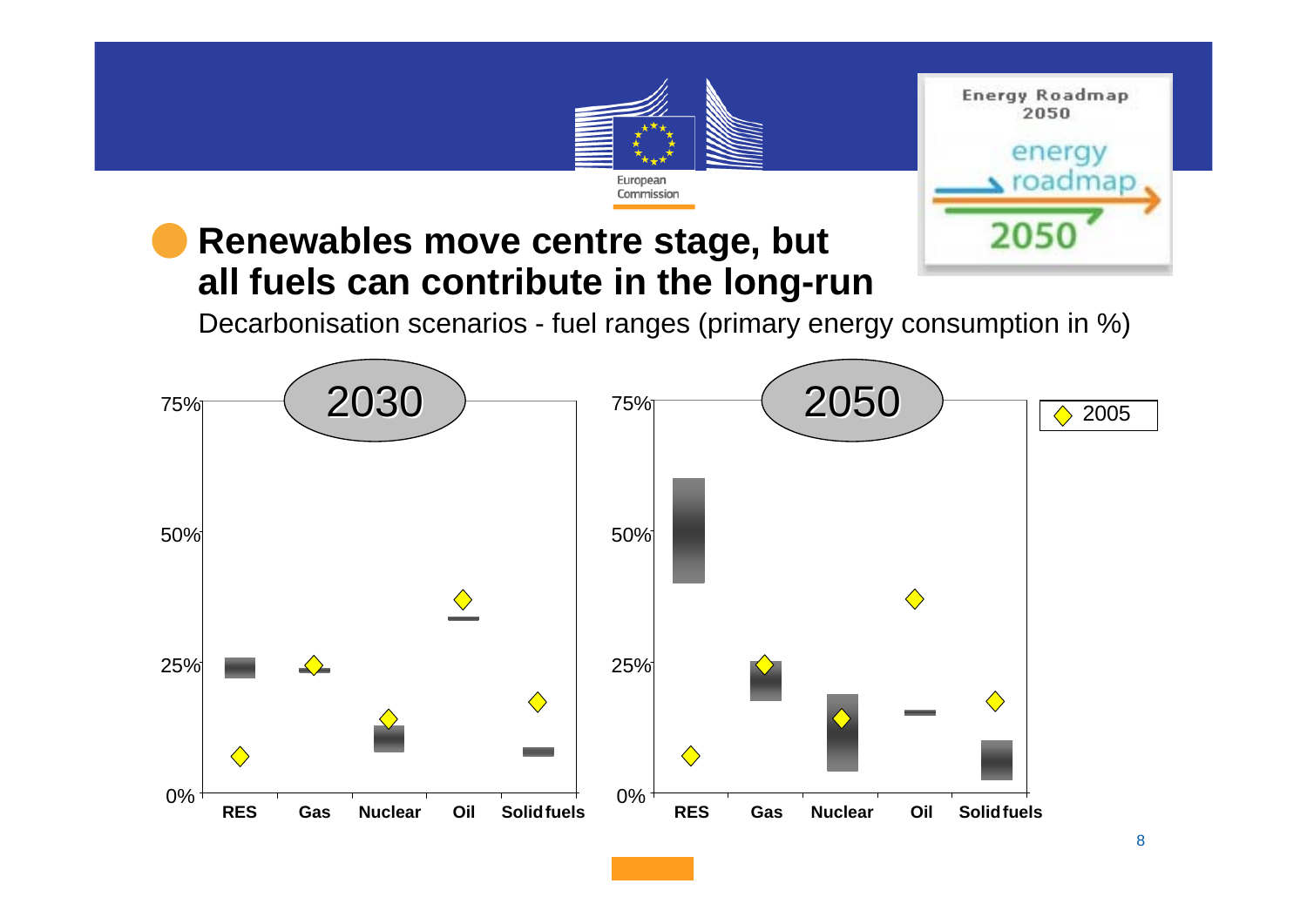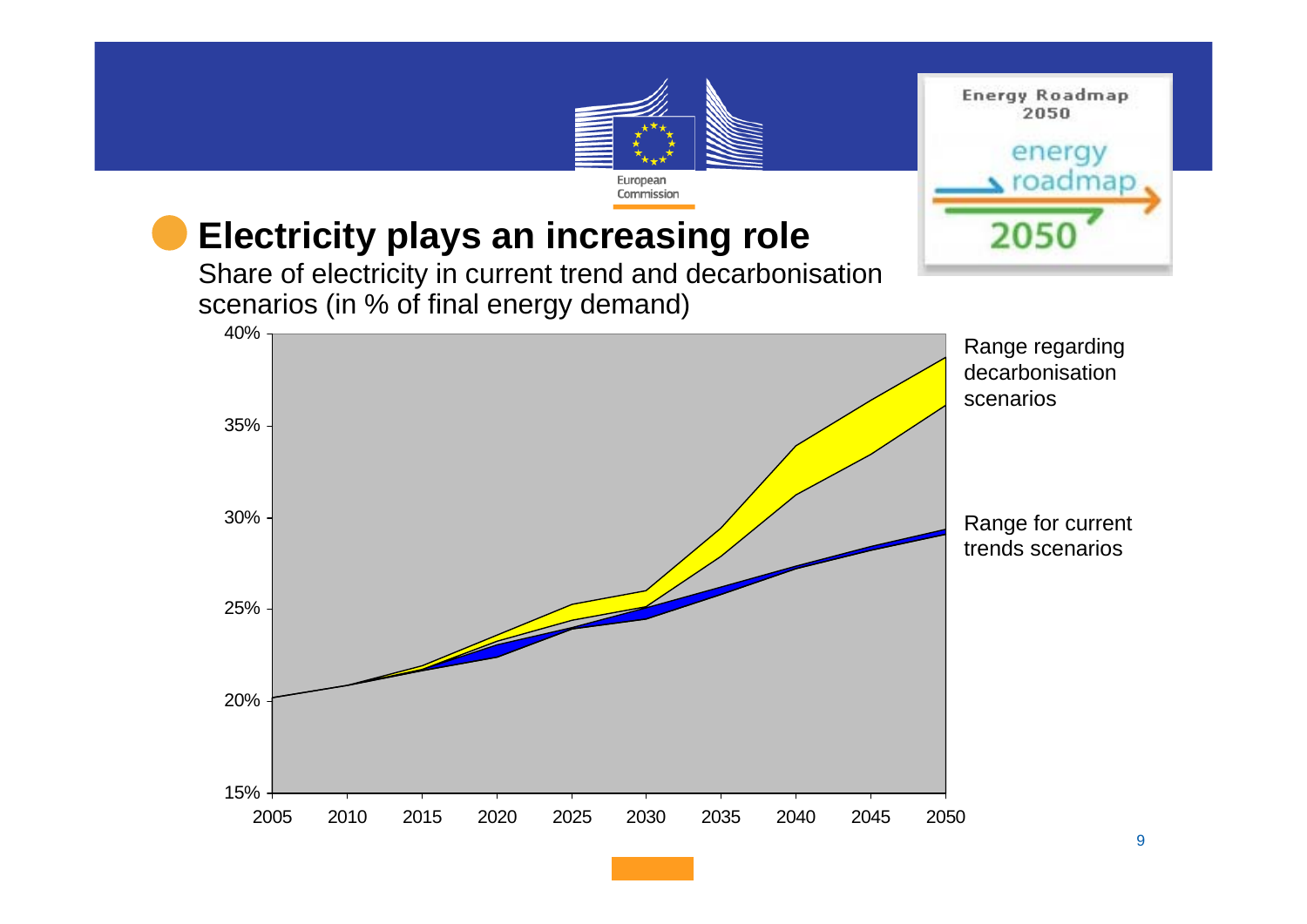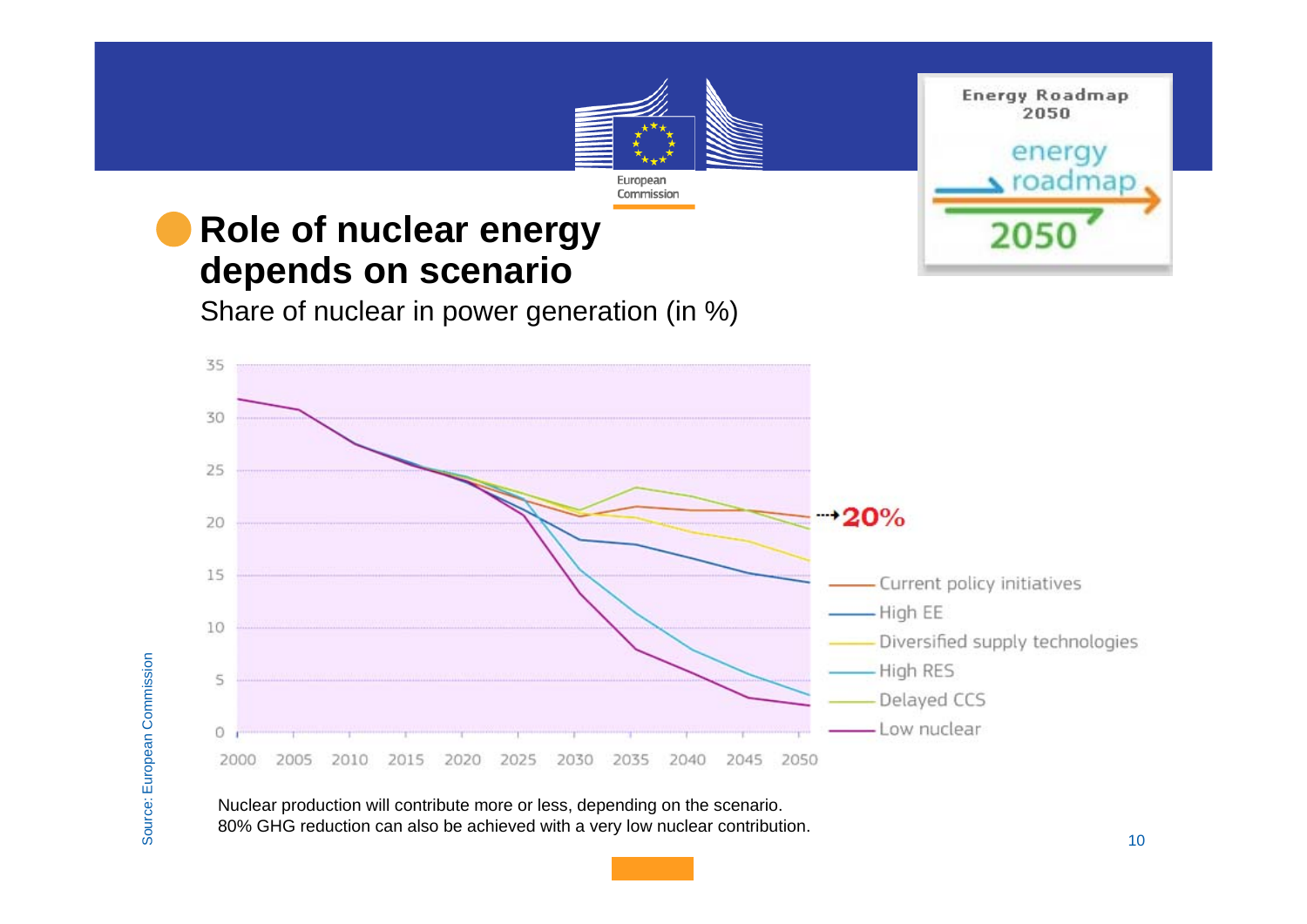

Nuclear production will contribute more or less, depending on the scenario. 80% GHG reduction can also be achieved with a very low nuclear contribution.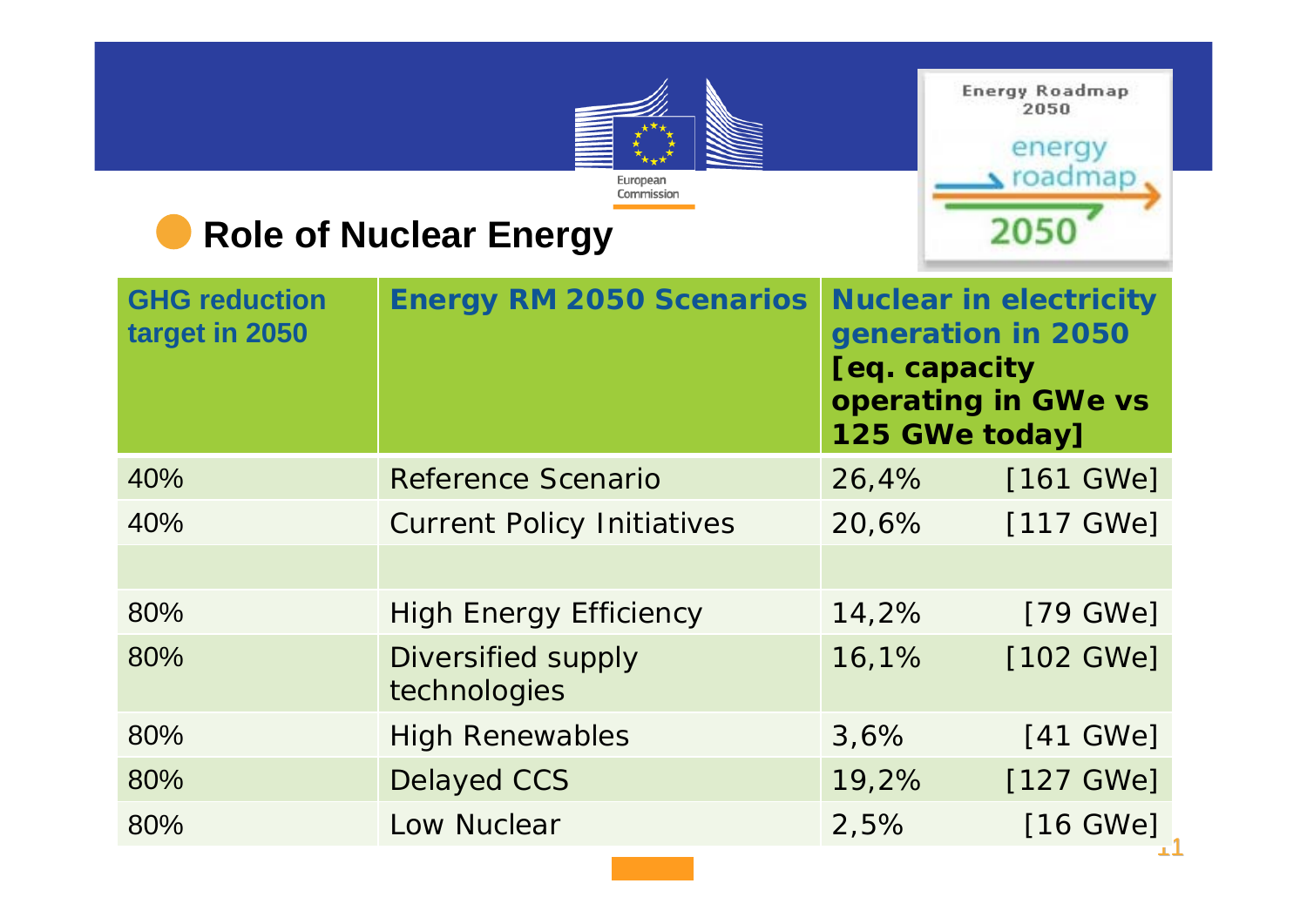

**Energy Roadmap** 2050

## energy  $\triangle$  roadmap 2050

## **Role of Nuclear Energy**

| <b>GHG reduction</b><br>target in 2050 | <b>Energy RM 2050 Scenarios</b>           | <b>Nuclear in electricity</b><br>generation in 2050<br>[eq. capacity<br>operating in GWe vs<br>125 GWe today] |                    |
|----------------------------------------|-------------------------------------------|---------------------------------------------------------------------------------------------------------------|--------------------|
| 40%                                    | <b>Reference Scenario</b>                 | 26,4%                                                                                                         | $[161$ GWe]        |
| 40%                                    | <b>Current Policy Initiatives</b>         | 20,6%                                                                                                         | [117 GWe]          |
|                                        |                                           |                                                                                                               |                    |
| 80%                                    | <b>High Energy Efficiency</b>             | 14,2%                                                                                                         | $[79 \text{ GWe}]$ |
| 80%                                    | <b>Diversified supply</b><br>technologies | 16,1%                                                                                                         | [102 GWe]          |
| 80%                                    | <b>High Renewables</b>                    | 3,6%                                                                                                          | [41 GWe]           |
| 80%                                    | <b>Delayed CCS</b>                        | 19,2%                                                                                                         | [127 GWe]          |
| 80%                                    | Low Nuclear                               | 2,5%                                                                                                          | [16 GWe]           |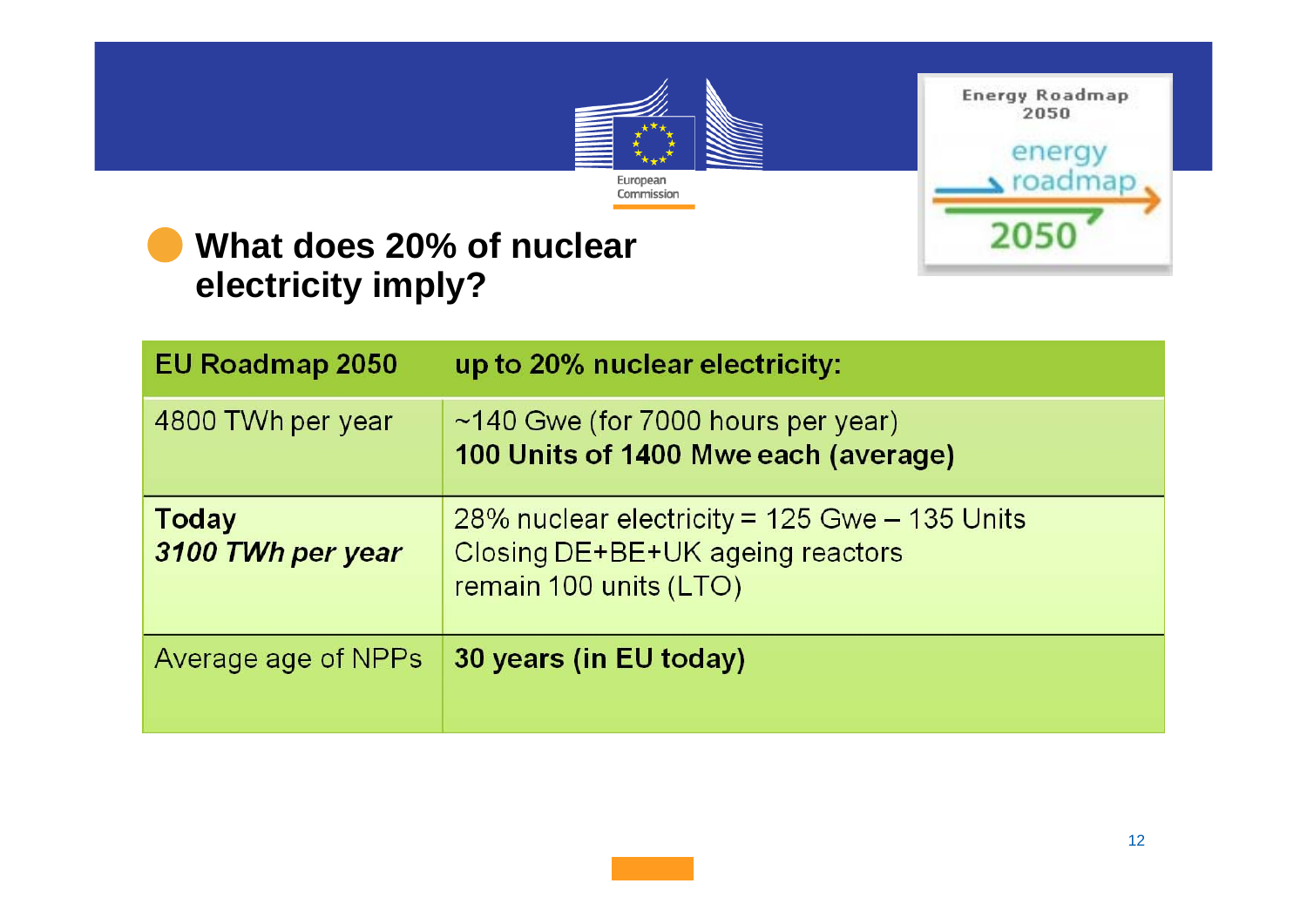

Energy Roadmap 2050



#### **What does 20% of nuclear electricity imply?**

| <b>EU Roadmap 2050</b>            | up to 20% nuclear electricity:                                                                                   |
|-----------------------------------|------------------------------------------------------------------------------------------------------------------|
| 4800 TWh per year                 | $\sim$ 140 Gwe (for 7000 hours per year)<br>100 Units of 1400 Mwe each (average)                                 |
| <b>Today</b><br>3100 TWh per year | $28\%$ nuclear electricity = 125 Gwe $-$ 135 Units<br>Closing DE+BE+UK ageing reactors<br>remain 100 units (LTO) |
| Average age of NPPs               | 30 years (in EU today)                                                                                           |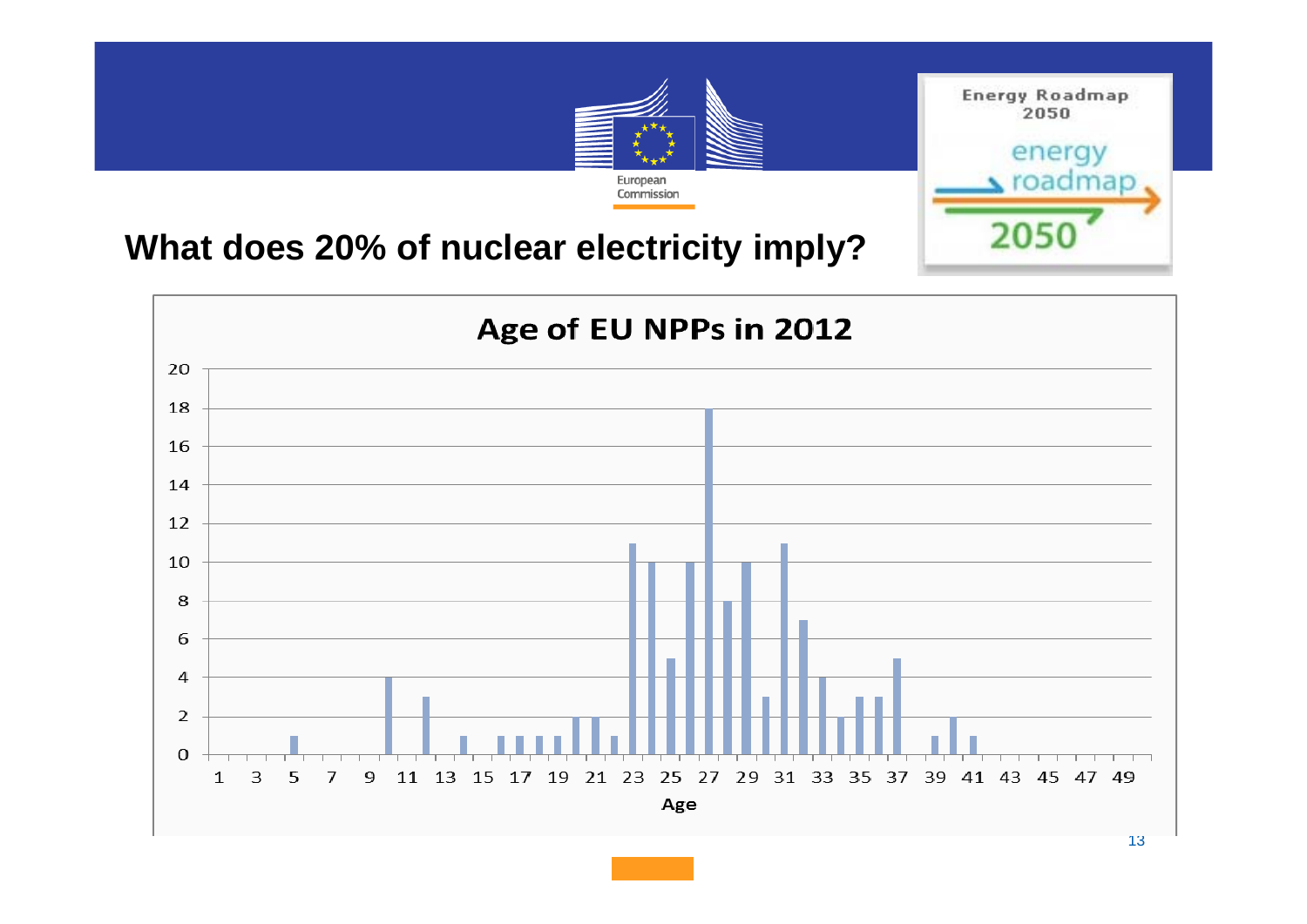

### **What does 20% of nuclear electricity imply?**

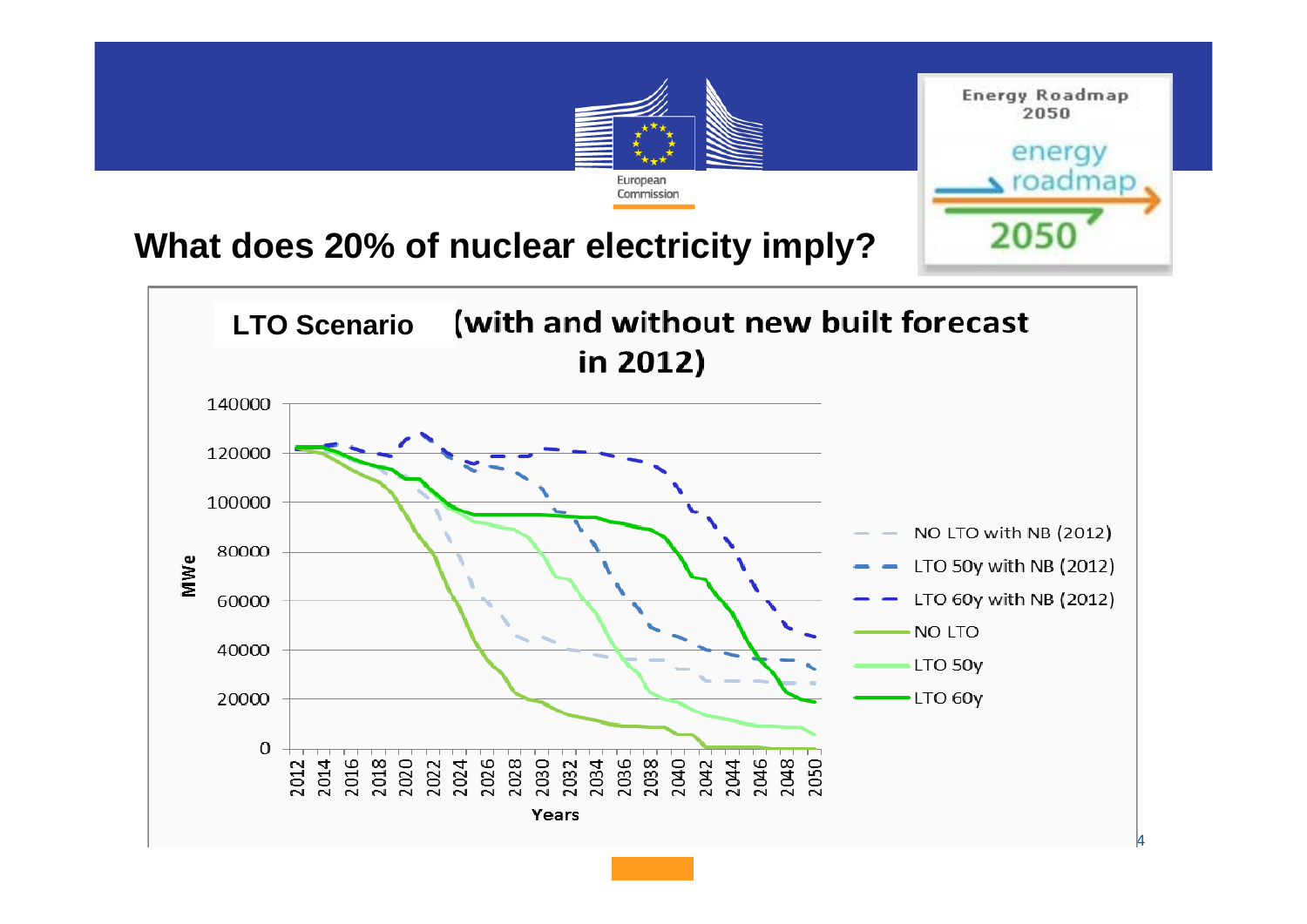

#### **What does 20% of nuclear electricity imply?**

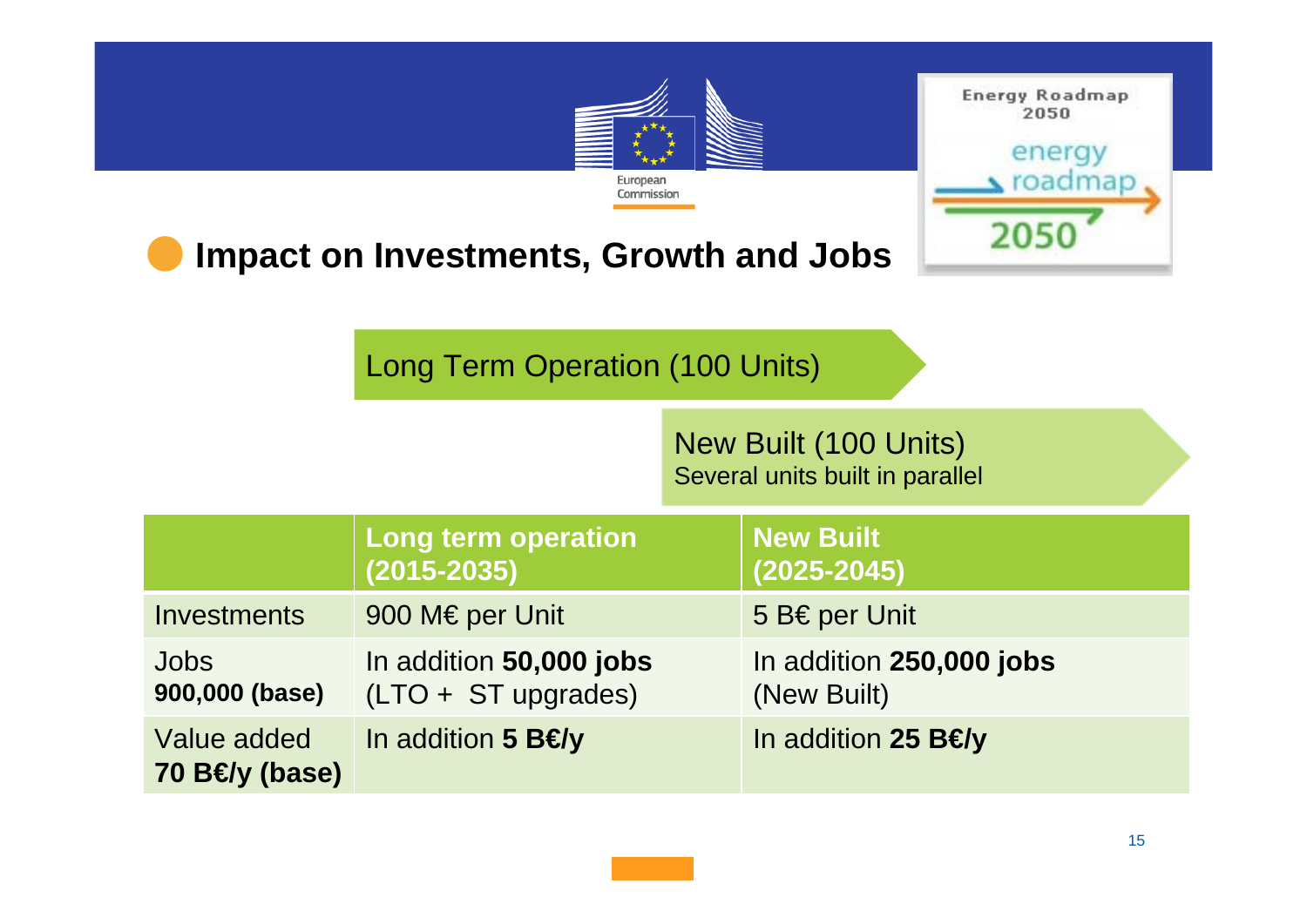| <b>Energy Roadmap</b><br>2050<br>energy<br>$\sum$ roadmap<br>European<br>Commission<br>205<br><b>Impact on Investments, Growth and Jobs</b><br><b>Long Term Operation (100 Units)</b> |                                                  |                                                          |                                         |  |
|---------------------------------------------------------------------------------------------------------------------------------------------------------------------------------------|--------------------------------------------------|----------------------------------------------------------|-----------------------------------------|--|
|                                                                                                                                                                                       |                                                  | New Built (100 Units)<br>Several units built in parallel |                                         |  |
|                                                                                                                                                                                       | <b>Long term operation</b><br>(2015-2035)        |                                                          | <b>New Built</b><br>(2025-2045)         |  |
| <b>Investments</b>                                                                                                                                                                    | 900 M€ per Unit                                  |                                                          | 5 B€ per Unit                           |  |
| <b>Jobs</b><br>900,000 (base)                                                                                                                                                         | In addition 50,000 jobs<br>$(LTO + ST$ upgrades) |                                                          | In addition 250,000 jobs<br>(New Built) |  |
| Value added<br>70 B $\bm{\theta}$ y (base)                                                                                                                                            | In addition 5 $B \triangleleft y$                |                                                          | In addition 25 $B\leftrightarrow$       |  |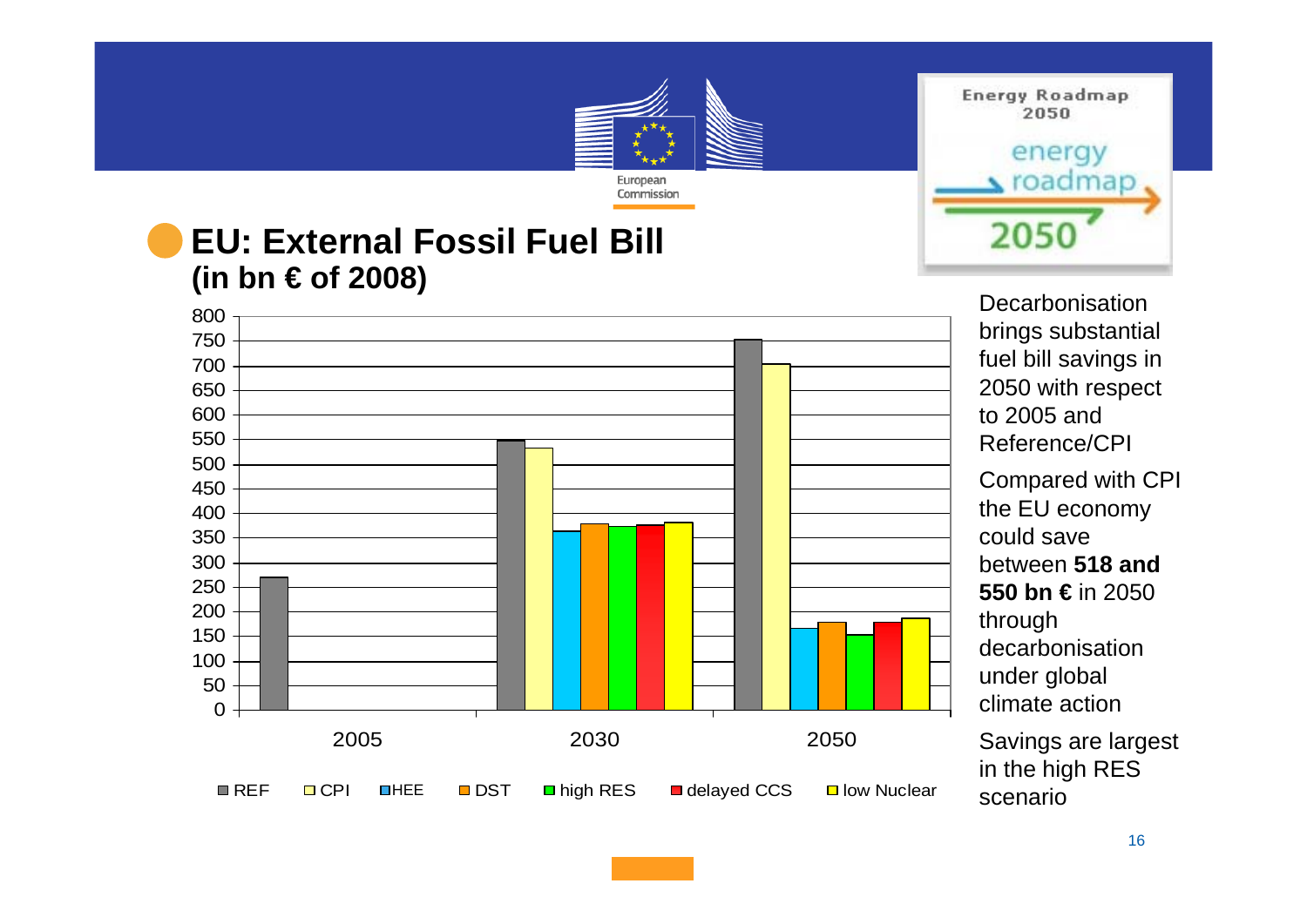#### European Commission **EU: External Fossil Fuel Bill (in bn € of 2008)**

0 50 1001502002503003504004505005506006507007508002005 2030 2050■REF  $CPI$ **□ DST Delayed CCS** Delow Nuclear **OHEE** 

**Energy Roadmap** 2050 energy roadmap 2050

> **Decarbonisation** brings substantial fuel bill savings in 2050 with respect to 2005 and Reference/CPICompared with CPI the EU economy could save between **518 and 550 bn €** in 2050 through decarbonisation under global climate action

Savings are largest in the high RES scenario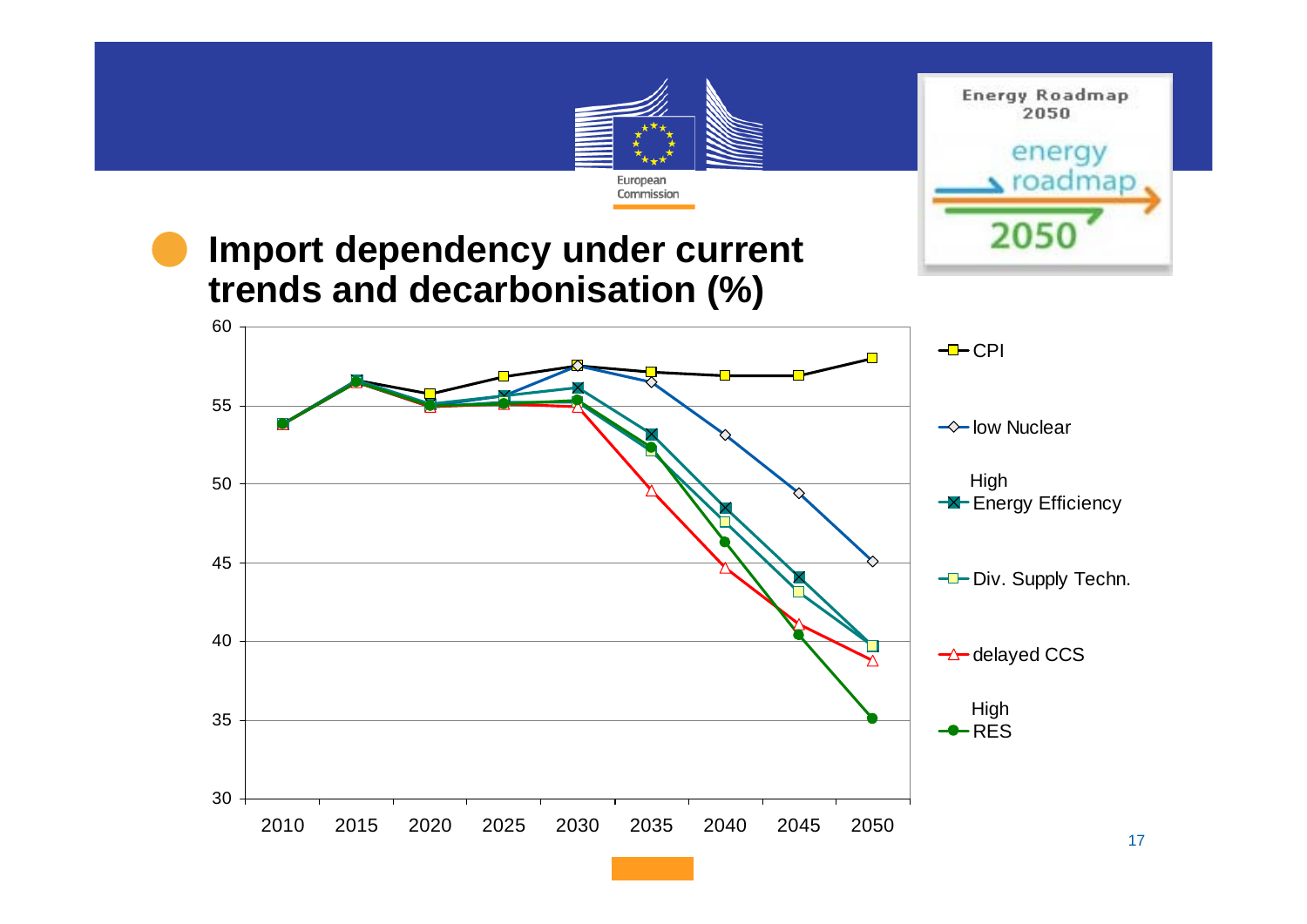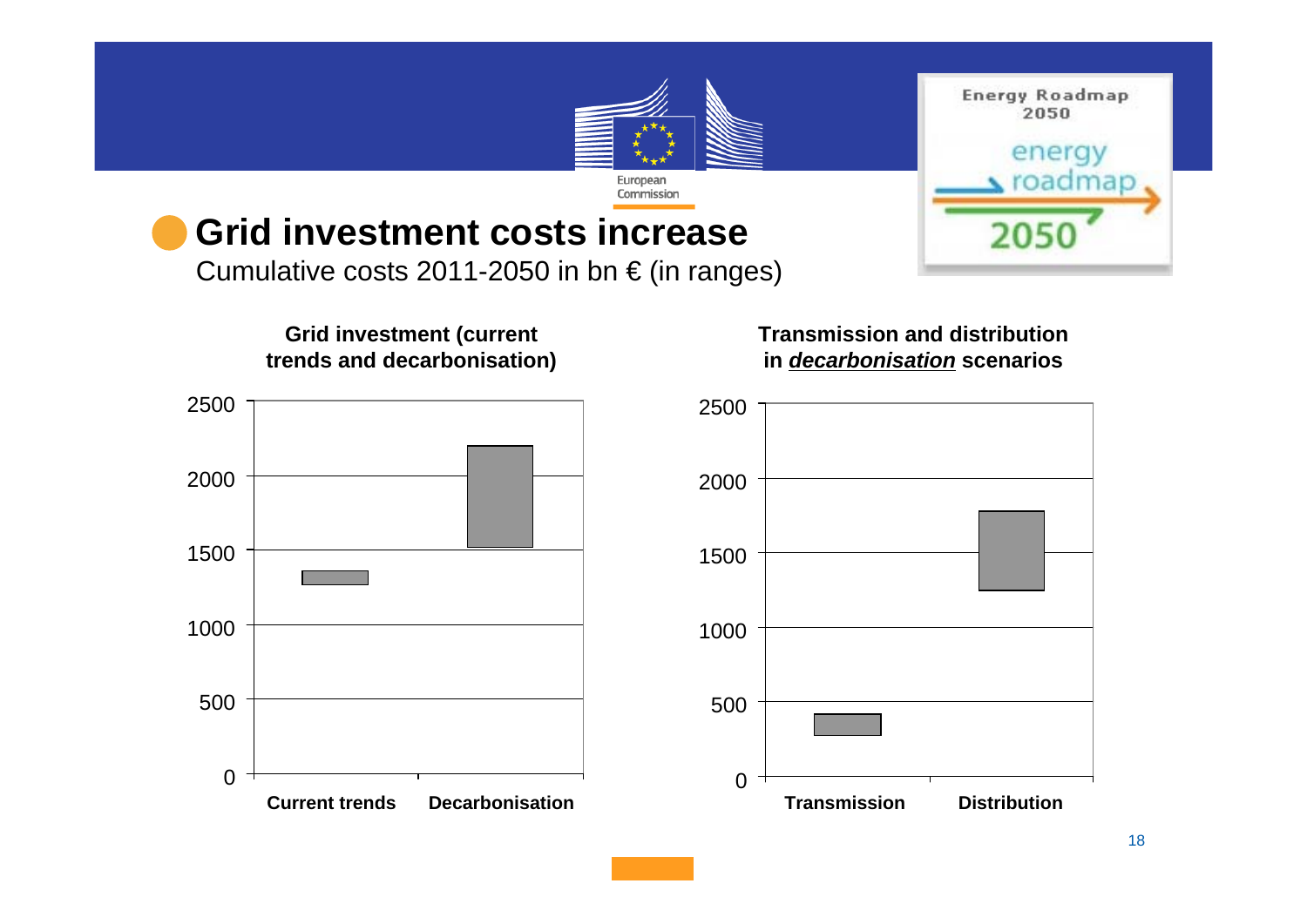